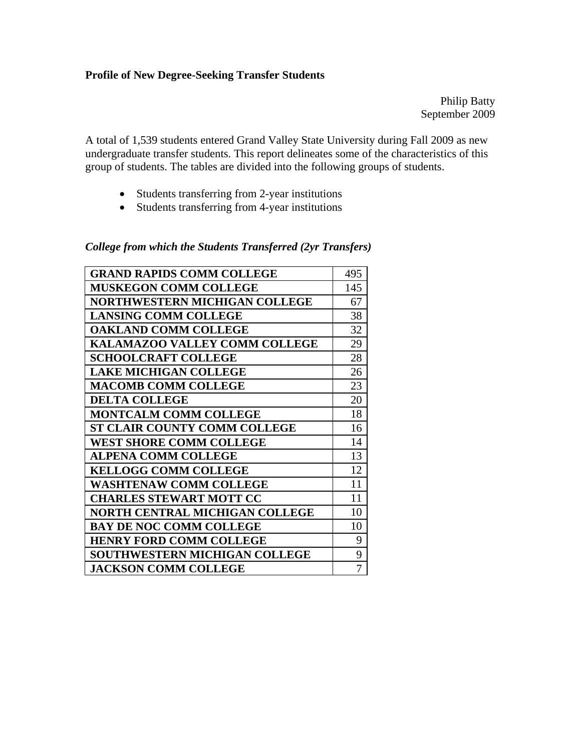#### **Profile of New Degree-Seeking Transfer Students**

Philip Batty September 2009

A total of 1,539 students entered Grand Valley State University during Fall 2009 as new undergraduate transfer students. This report delineates some of the characteristics of this group of students. The tables are divided into the following groups of students.

- Students transferring from 2-year institutions
- Students transferring from 4-year institutions

| College from which the Students Transferred (2yr Transfers) |  |  |  |  |  |
|-------------------------------------------------------------|--|--|--|--|--|
|                                                             |  |  |  |  |  |

| <b>GRAND RAPIDS COMM COLLEGE</b>     | 495            |
|--------------------------------------|----------------|
| <b>MUSKEGON COMM COLLEGE</b>         | 145            |
| NORTHWESTERN MICHIGAN COLLEGE        | 67             |
| <b>LANSING COMM COLLEGE</b>          | 38             |
| <b>OAKLAND COMM COLLEGE</b>          | 32             |
| <b>KALAMAZOO VALLEY COMM COLLEGE</b> | 29             |
| <b>SCHOOLCRAFT COLLEGE</b>           | 28             |
| <b>LAKE MICHIGAN COLLEGE</b>         | 26             |
| <b>MACOMB COMM COLLEGE</b>           | 23             |
| <b>DELTA COLLEGE</b>                 | 20             |
| <b>MONTCALM COMM COLLEGE</b>         | 18             |
| <b>ST CLAIR COUNTY COMM COLLEGE</b>  | 16             |
| <b>WEST SHORE COMM COLLEGE</b>       | 14             |
| <b>ALPENA COMM COLLEGE</b>           | 13             |
| <b>KELLOGG COMM COLLEGE</b>          | 12             |
| <b>WASHTENAW COMM COLLEGE</b>        | 11             |
| <b>CHARLES STEWART MOTT CC</b>       | 11             |
| NORTH CENTRAL MICHIGAN COLLEGE       | 10             |
| <b>BAY DE NOC COMM COLLEGE</b>       | 10             |
| <b>HENRY FORD COMM COLLEGE</b>       | 9              |
| SOUTHWESTERN MICHIGAN COLLEGE        | 9              |
| <b>JACKSON COMM COLLEGE</b>          | $\overline{7}$ |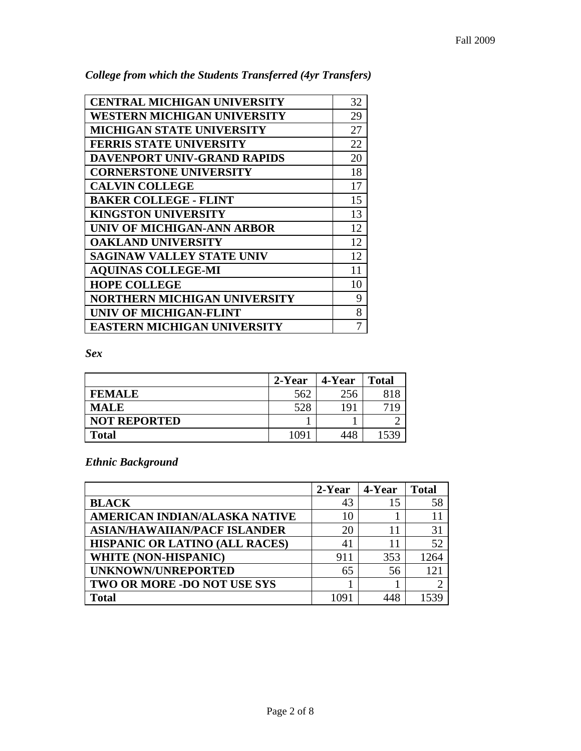| <b>CENTRAL MICHIGAN UNIVERSITY</b> | 32 |
|------------------------------------|----|
| <b>WESTERN MICHIGAN UNIVERSITY</b> | 29 |
| <b>MICHIGAN STATE UNIVERSITY</b>   | 27 |
| <b>FERRIS STATE UNIVERSITY</b>     | 22 |
| <b>DAVENPORT UNIV-GRAND RAPIDS</b> | 20 |
| <b>CORNERSTONE UNIVERSITY</b>      | 18 |
| <b>CALVIN COLLEGE</b>              | 17 |
| <b>BAKER COLLEGE - FLINT</b>       | 15 |
| <b>KINGSTON UNIVERSITY</b>         | 13 |
| UNIV OF MICHIGAN-ANN ARBOR         | 12 |
| <b>OAKLAND UNIVERSITY</b>          | 12 |
| <b>SAGINAW VALLEY STATE UNIV</b>   | 12 |
| <b>AQUINAS COLLEGE-MI</b>          | 11 |
| <b>HOPE COLLEGE</b>                | 10 |
| NORTHERN MICHIGAN UNIVERSITY       | 9  |
| UNIV OF MICHIGAN-FLINT             | 8  |
| <b>EASTERN MICHIGAN UNIVERSITY</b> | 7  |

*College from which the Students Transferred (4yr Transfers)* 

#### *Sex*

|                     | 2-Year | 4-Year | <b>Total</b> |
|---------------------|--------|--------|--------------|
| <b>FEMALE</b>       | 562    | 256    | 818          |
| <b>MALE</b>         | 528    | 191    | 719          |
| <b>NOT REPORTED</b> |        |        |              |
| <b>Total</b>        | 1091   | 448    | 539          |

# *Ethnic Background*

|                                       | 2-Year | 4-Year | <b>Total</b>    |
|---------------------------------------|--------|--------|-----------------|
| <b>BLACK</b>                          | 43     | 15     | 58              |
| AMERICAN INDIAN/ALASKA NATIVE         | 10     |        |                 |
| <b>ASIAN/HAWAIIAN/PACF ISLANDER</b>   | 20     |        | 31              |
| <b>HISPANIC OR LATINO (ALL RACES)</b> | 41     |        | 52              |
| <b>WHITE (NON-HISPANIC)</b>           | 911    | 353    | 1264            |
| UNKNOWN/UNREPORTED                    | 65     | 56     | 12 <sup>1</sup> |
| TWO OR MORE -DO NOT USE SYS           |        |        |                 |
| <b>Total</b>                          | 1091   | 448    |                 |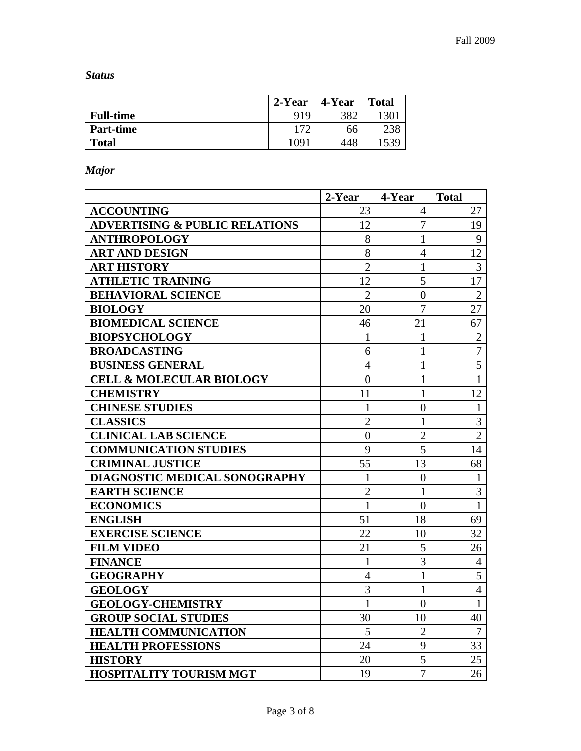*Status* 

|                  | 2-Year | 4-Year | <b>Total</b> |
|------------------|--------|--------|--------------|
| <b>Full-time</b> | 919    | 382    | 130.         |
| <b>Part-time</b> | 172    | 66     |              |
| <b>Total</b>     | 1091   | 448    |              |

*Major* 

|                                           | 2-Year           | 4-Year           | <b>Total</b>   |
|-------------------------------------------|------------------|------------------|----------------|
| <b>ACCOUNTING</b>                         | 23               | $\overline{4}$   | 27             |
| <b>ADVERTISING &amp; PUBLIC RELATIONS</b> | 12               | $\overline{7}$   | 19             |
| <b>ANTHROPOLOGY</b>                       | 8                | $\mathbf{1}$     | 9              |
| <b>ART AND DESIGN</b>                     | 8                | $\overline{4}$   | 12             |
| <b>ART HISTORY</b>                        | $\overline{2}$   | $\mathbf{1}$     | 3              |
| <b>ATHLETIC TRAINING</b>                  | 12               | 5                | 17             |
| <b>BEHAVIORAL SCIENCE</b>                 | $\overline{2}$   | $\overline{0}$   | $\overline{2}$ |
| <b>BIOLOGY</b>                            | 20               | $\overline{7}$   | 27             |
| <b>BIOMEDICAL SCIENCE</b>                 | 46               | 21               | 67             |
| <b>BIOPSYCHOLOGY</b>                      | $\mathbf{1}$     | $\mathbf{1}$     | $\overline{2}$ |
| <b>BROADCASTING</b>                       | 6                | $\mathbf{1}$     | $\overline{7}$ |
| <b>BUSINESS GENERAL</b>                   | $\overline{4}$   | $\mathbf{1}$     | $\overline{5}$ |
| <b>CELL &amp; MOLECULAR BIOLOGY</b>       | $\overline{0}$   | $\mathbf{1}$     | $\mathbf{1}$   |
| <b>CHEMISTRY</b>                          | 11               | $\mathbf{1}$     | 12             |
| <b>CHINESE STUDIES</b>                    | $\mathbf{1}$     | $\overline{0}$   | $\mathbf{1}$   |
| <b>CLASSICS</b>                           | $\overline{2}$   | $\mathbf{1}$     | $\overline{3}$ |
| <b>CLINICAL LAB SCIENCE</b>               | $\boldsymbol{0}$ | $\overline{2}$   | $\overline{2}$ |
| <b>COMMUNICATION STUDIES</b>              | 9                | 5                | 14             |
| <b>CRIMINAL JUSTICE</b>                   | 55               | 13               | 68             |
| <b>DIAGNOSTIC MEDICAL SONOGRAPHY</b>      | $\mathbf{1}$     | $\boldsymbol{0}$ | 1              |
| <b>EARTH SCIENCE</b>                      | $\overline{2}$   | $\mathbf{1}$     | $\overline{3}$ |
| <b>ECONOMICS</b>                          | $\mathbf{1}$     | $\overline{0}$   | $\overline{1}$ |
| <b>ENGLISH</b>                            | 51               | 18               | 69             |
| <b>EXERCISE SCIENCE</b>                   | 22               | 10               | 32             |
| <b>FILM VIDEO</b>                         | 21               | 5                | 26             |
| <b>FINANCE</b>                            | $\mathbf{1}$     | $\overline{3}$   | $\overline{4}$ |
| <b>GEOGRAPHY</b>                          | $\overline{4}$   | $\mathbf{1}$     | $\overline{5}$ |
| <b>GEOLOGY</b>                            | 3                | $\mathbf{1}$     | $\overline{4}$ |
| <b>GEOLOGY-CHEMISTRY</b>                  | $\overline{1}$   | $\overline{0}$   | $\overline{1}$ |
| <b>GROUP SOCIAL STUDIES</b>               | 30               | 10               | 40             |
| <b>HEALTH COMMUNICATION</b>               | 5                | $\overline{2}$   | $\overline{7}$ |
| <b>HEALTH PROFESSIONS</b>                 | 24               | 9                | 33             |
| <b>HISTORY</b>                            | 20               | 5                | 25             |
| <b>HOSPITALITY TOURISM MGT</b>            | 19               | $\overline{7}$   | 26             |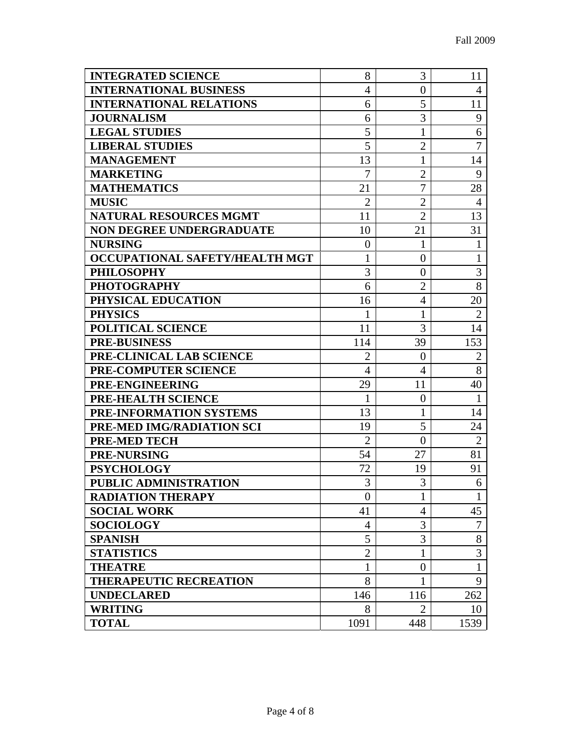| <b>INTEGRATED SCIENCE</b>       | 8              | 3              | 11                             |
|---------------------------------|----------------|----------------|--------------------------------|
| <b>INTERNATIONAL BUSINESS</b>   | 4              | $\theta$       | $\overline{4}$                 |
| <b>INTERNATIONAL RELATIONS</b>  | 6              | 5              | 11                             |
| <b>JOURNALISM</b>               | 6              | 3              | 9                              |
| <b>LEGAL STUDIES</b>            | 5              | $\mathbf{1}$   | 6                              |
| <b>LIBERAL STUDIES</b>          | 5              | $\overline{2}$ | $\overline{7}$                 |
| <b>MANAGEMENT</b>               | 13             | $\mathbf{1}$   | 14                             |
| <b>MARKETING</b>                | $\overline{7}$ | $\overline{2}$ | 9                              |
| <b>MATHEMATICS</b>              | 21             | $\overline{7}$ | 28                             |
| <b>MUSIC</b>                    | $\overline{2}$ | $\overline{2}$ | $\overline{4}$                 |
| <b>NATURAL RESOURCES MGMT</b>   | 11             | $\overline{2}$ | 13                             |
| <b>NON DEGREE UNDERGRADUATE</b> | 10             | 21             | 31                             |
| <b>NURSING</b>                  | $\overline{0}$ | 1              | $\mathbf{1}$                   |
| OCCUPATIONAL SAFETY/HEALTH MGT  | $\mathbf{1}$   | $\overline{0}$ | 1                              |
| <b>PHILOSOPHY</b>               | 3              | $\overline{0}$ | 3                              |
| <b>PHOTOGRAPHY</b>              | 6              | $\overline{2}$ | $\overline{8}$                 |
| PHYSICAL EDUCATION              | 16             | $\overline{4}$ | 20                             |
| <b>PHYSICS</b>                  | $\mathbf{1}$   | $\mathbf{1}$   | $\overline{2}$                 |
| <b>POLITICAL SCIENCE</b>        | 11             | 3              | 14                             |
| <b>PRE-BUSINESS</b>             | 114            | 39             | 153                            |
| PRE-CLINICAL LAB SCIENCE        | $\overline{2}$ | $\theta$       | $\overline{2}$                 |
| PRE-COMPUTER SCIENCE            | $\overline{4}$ | $\overline{4}$ | 8                              |
| PRE-ENGINEERING                 | 29             | 11             | 40                             |
| PRE-HEALTH SCIENCE              | 1              | $\theta$       | $\mathbf{1}$                   |
| PRE-INFORMATION SYSTEMS         | 13             | 1              | 14                             |
| PRE-MED IMG/RADIATION SCI       | 19             | 5              | 24                             |
| <b>PRE-MED TECH</b>             | $\overline{2}$ | $\overline{0}$ | $\overline{2}$                 |
| <b>PRE-NURSING</b>              | 54             | 27             | 81                             |
| <b>PSYCHOLOGY</b>               | 72             | 19             | 91                             |
| PUBLIC ADMINISTRATION           | 3              | 3              | 6                              |
| <b>RADIATION THERAPY</b>        | $\overline{0}$ | $\mathbf{1}$   | $\blacksquare$<br>$\mathbf{I}$ |
| <b>SOCIAL WORK</b>              | 41             | 4              | 45                             |
| <b>SOCIOLOGY</b>                | 4              | 3              | 7                              |
| <b>SPANISH</b>                  | 5              | 3              | $8\,$                          |
| <b>STATISTICS</b>               | $\overline{2}$ | 1              | 3                              |
| <b>THEATRE</b>                  | 1              | $\overline{0}$ |                                |
| <b>THERAPEUTIC RECREATION</b>   | 8              | 1              | 9                              |
| <b>UNDECLARED</b>               | 146            | 116            | 262                            |
| <b>WRITING</b>                  | 8              | $\overline{2}$ | 10                             |
| <b>TOTAL</b>                    | 1091           | 448            | 1539                           |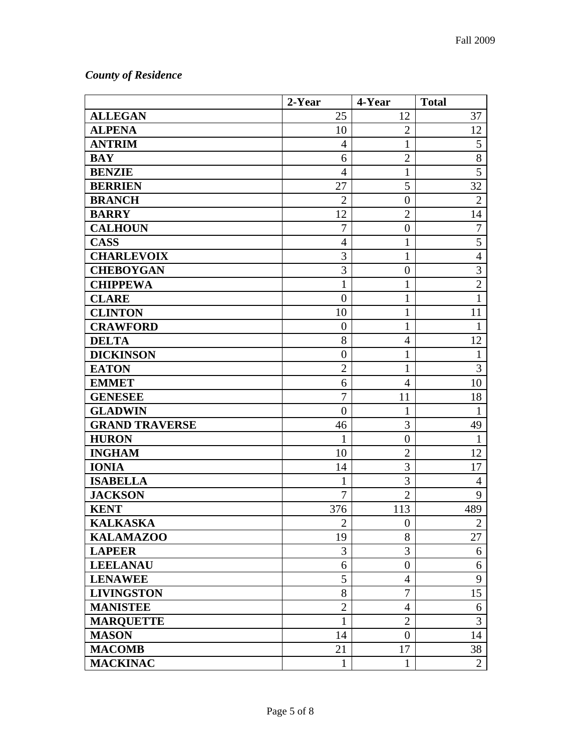## *County of Residence*

|                       | 2-Year           | 4-Year           | <b>Total</b>   |
|-----------------------|------------------|------------------|----------------|
| <b>ALLEGAN</b>        | 25               | 12               | 37             |
| <b>ALPENA</b>         | 10               | $\overline{2}$   | 12             |
| <b>ANTRIM</b>         | 4                | $\mathbf{1}$     | $\mathfrak{S}$ |
| <b>BAY</b>            | 6                | $\overline{2}$   | $8\,$          |
| <b>BENZIE</b>         | $\overline{4}$   | $\mathbf{1}$     | 5              |
| <b>BERRIEN</b>        | 27               | 5                | 32             |
| <b>BRANCH</b>         | $\overline{2}$   | $\overline{0}$   | $\overline{2}$ |
| <b>BARRY</b>          | 12               | $\overline{2}$   | 14             |
| <b>CALHOUN</b>        | 7                | $\overline{0}$   | $\overline{7}$ |
| <b>CASS</b>           | $\overline{4}$   | $\mathbf 1$      | $\overline{5}$ |
| <b>CHARLEVOIX</b>     | 3                | $\mathbf{1}$     | $\overline{4}$ |
| <b>CHEBOYGAN</b>      | $\overline{3}$   | $\overline{0}$   | 3              |
| <b>CHIPPEWA</b>       | 1                | $\mathbf{1}$     | $\overline{2}$ |
| <b>CLARE</b>          | $\overline{0}$   | $\mathbf{1}$     | $\mathbf{1}$   |
| <b>CLINTON</b>        | 10               | 1                | 11             |
| <b>CRAWFORD</b>       | $\overline{0}$   | 1                | $\mathbf{1}$   |
| <b>DELTA</b>          | 8                | $\overline{4}$   | 12             |
| <b>DICKINSON</b>      | $\boldsymbol{0}$ | $\mathbf{1}$     | $\mathbf{1}$   |
| <b>EATON</b>          | $\overline{2}$   | 1                | 3              |
| <b>EMMET</b>          | 6                | $\overline{4}$   | 10             |
| <b>GENESEE</b>        | $\overline{7}$   | 11               | 18             |
| <b>GLADWIN</b>        | $\overline{0}$   | $\mathbf{1}$     | $\mathbf{1}$   |
| <b>GRAND TRAVERSE</b> | 46               | 3                | 49             |
| <b>HURON</b>          | $\mathbf{1}$     | $\overline{0}$   | $\mathbf{1}$   |
| <b>INGHAM</b>         | 10               | $\overline{2}$   | 12             |
| <b>IONIA</b>          | 14               | 3                | 17             |
| <b>ISABELLA</b>       | 1                | 3                | $\overline{4}$ |
| <b>JACKSON</b>        | $\overline{7}$   | $\overline{2}$   | 9              |
| <b>KENT</b>           | 376              | 113              | 489            |
| <b>KALKASKA</b>       | $\overline{2}$   | $\overline{0}$   | $\overline{2}$ |
| <b>KALAMAZOO</b>      | 19               | 8                | 27             |
| <b>LAPEER</b>         | 3                | 3                | 6              |
| <b>LEELANAU</b>       | 6                | $\boldsymbol{0}$ | 6              |
| <b>LENAWEE</b>        | 5                | $\overline{4}$   | 9              |
| <b>LIVINGSTON</b>     | 8                | 7                | 15             |
| <b>MANISTEE</b>       | $\overline{2}$   | $\overline{4}$   | 6              |
| <b>MARQUETTE</b>      | $\mathbf{1}$     | $\overline{2}$   | 3              |
| <b>MASON</b>          | 14               | $\overline{0}$   | 14             |
| <b>MACOMB</b>         | 21               | 17               | 38             |
| <b>MACKINAC</b>       | $\mathbf{1}$     | 1                | $\overline{2}$ |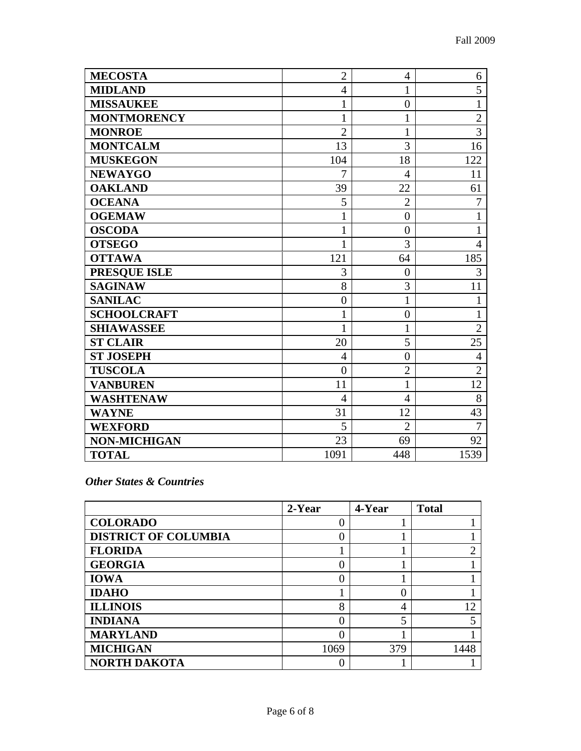|                     |                | $\overline{4}$ |                |
|---------------------|----------------|----------------|----------------|
| <b>MECOSTA</b>      | $\overline{2}$ |                | 6              |
| <b>MIDLAND</b>      | $\overline{4}$ | 1              | 5              |
| <b>MISSAUKEE</b>    | $\mathbf{1}$   | $\overline{0}$ | $\mathbf{1}$   |
| <b>MONTMORENCY</b>  | $\mathbf{1}$   | 1              | $\overline{2}$ |
| <b>MONROE</b>       | $\overline{2}$ | 1              | 3              |
| <b>MONTCALM</b>     | 13             | 3              | 16             |
| <b>MUSKEGON</b>     | 104            | 18             | 122            |
| <b>NEWAYGO</b>      | 7              | $\overline{4}$ | 11             |
| <b>OAKLAND</b>      | 39             | 22             | 61             |
| <b>OCEANA</b>       | 5              | $\overline{2}$ | $\tau$         |
| <b>OGEMAW</b>       | 1              | $\overline{0}$ | $\mathbf{1}$   |
| <b>OSCODA</b>       | 1              | $\overline{0}$ | $\mathbf 1$    |
| <b>OTSEGO</b>       | $\mathbf{1}$   | 3              | $\overline{4}$ |
| <b>OTTAWA</b>       | 121            | 64             | 185            |
| PRESQUE ISLE        | 3              | $\overline{0}$ | 3              |
| <b>SAGINAW</b>      | 8              | 3              | 11             |
| <b>SANILAC</b>      | $\overline{0}$ | $\mathbf{1}$   |                |
| <b>SCHOOLCRAFT</b>  | 1              | $\overline{0}$ | $\mathbf 1$    |
| <b>SHIAWASSEE</b>   | $\mathbf{1}$   | 1              | $\overline{2}$ |
| <b>ST CLAIR</b>     | 20             | 5              | 25             |
| <b>ST JOSEPH</b>    | $\overline{4}$ | $\overline{0}$ | $\overline{4}$ |
| <b>TUSCOLA</b>      | $\overline{0}$ | $\overline{2}$ | $\overline{2}$ |
| <b>VANBUREN</b>     | 11             | 1              | 12             |
| <b>WASHTENAW</b>    | $\overline{4}$ | $\overline{4}$ | 8              |
| <b>WAYNE</b>        | 31             | 12             | 43             |
| <b>WEXFORD</b>      | 5              | $\overline{2}$ | 7              |
| <b>NON-MICHIGAN</b> | 23             | 69             | 92             |
| <b>TOTAL</b>        | 1091           | 448            | 1539           |

*Other States & Countries* 

|                             | 2-Year | 4-Year | <b>Total</b> |
|-----------------------------|--------|--------|--------------|
| <b>COLORADO</b>             |        |        |              |
| <b>DISTRICT OF COLUMBIA</b> |        |        |              |
| <b>FLORIDA</b>              |        |        |              |
| <b>GEORGIA</b>              |        |        |              |
| <b>IOWA</b>                 | 0      |        |              |
| <b>IDAHO</b>                |        |        |              |
| <b>ILLINOIS</b>             | 8      | 4      | 12           |
| <b>INDIANA</b>              | 0      | 5      |              |
| <b>MARYLAND</b>             |        |        |              |
| <b>MICHIGAN</b>             | 1069   | 379    | 1448         |
| <b>NORTH DAKOTA</b>         |        |        |              |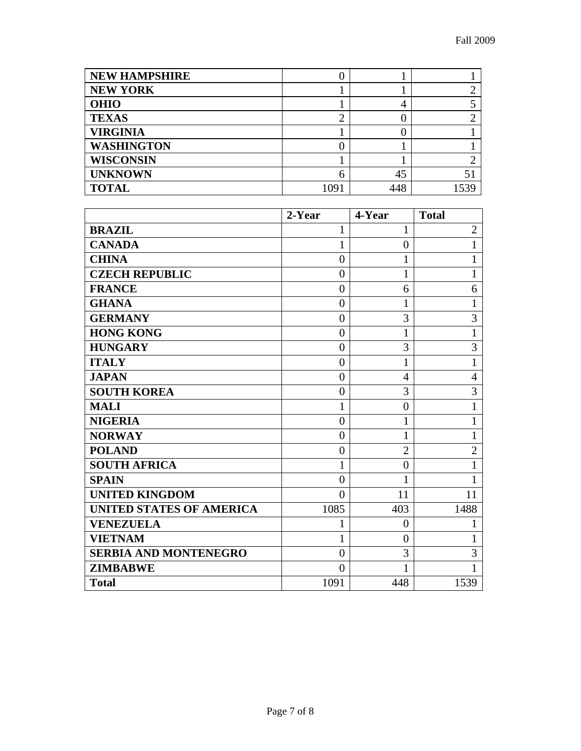| <b>NEW HAMPSHIRE</b> |      |    |  |
|----------------------|------|----|--|
| <b>NEW YORK</b>      |      |    |  |
| <b>OHIO</b>          |      |    |  |
| <b>TEXAS</b>         |      |    |  |
| <b>VIRGINIA</b>      |      |    |  |
| <b>WASHINGTON</b>    |      |    |  |
| <b>WISCONSIN</b>     |      |    |  |
| <b>UNKNOWN</b>       | 6    | 45 |  |
| <b>TOTAL</b>         | 1091 |    |  |

|                                 | 2-Year           | 4-Year         | <b>Total</b>   |
|---------------------------------|------------------|----------------|----------------|
| <b>BRAZIL</b>                   | 1                | 1              | $\overline{2}$ |
| <b>CANADA</b>                   | $\mathbf{1}$     | $\overline{0}$ | 1              |
| <b>CHINA</b>                    | $\overline{0}$   | $\mathbf{1}$   | 1              |
| <b>CZECH REPUBLIC</b>           | $\overline{0}$   | 1              | 1              |
| <b>FRANCE</b>                   | $\overline{0}$   | 6              | 6              |
| <b>GHANA</b>                    | $\overline{0}$   | $\mathbf{1}$   | $\mathbf{1}$   |
| <b>GERMANY</b>                  | $\overline{0}$   | 3              | 3              |
| <b>HONG KONG</b>                | $\overline{0}$   | 1              | 1              |
| <b>HUNGARY</b>                  | $\overline{0}$   | 3              | 3              |
| <b>ITALY</b>                    | $\overline{0}$   | $\mathbf{1}$   | 1              |
| <b>JAPAN</b>                    | $\overline{0}$   | $\overline{4}$ | $\overline{4}$ |
| <b>SOUTH KOREA</b>              | $\boldsymbol{0}$ | 3              | 3              |
| <b>MALI</b>                     | $\mathbf{1}$     | $\overline{0}$ | $\mathbf{1}$   |
| <b>NIGERIA</b>                  | $\boldsymbol{0}$ | $\mathbf{1}$   | 1              |
| <b>NORWAY</b>                   | $\overline{0}$   | 1              | 1              |
| <b>POLAND</b>                   | $\overline{0}$   | $\overline{2}$ | $\overline{2}$ |
| <b>SOUTH AFRICA</b>             | $\mathbf{1}$     | $\overline{0}$ | 1              |
| <b>SPAIN</b>                    | $\overline{0}$   | 1              | 1              |
| <b>UNITED KINGDOM</b>           | $\theta$         | 11             | 11             |
| <b>UNITED STATES OF AMERICA</b> | 1085             | 403            | 1488           |
| <b>VENEZUELA</b>                | 1                | $\overline{0}$ | 1              |
| <b>VIETNAM</b>                  | 1                | $\overline{0}$ | 1              |
| <b>SERBIA AND MONTENEGRO</b>    | $\overline{0}$   | 3              | 3              |
| <b>ZIMBABWE</b>                 | $\overline{0}$   | 1              |                |
| <b>Total</b>                    | 1091             | 448            | 1539           |